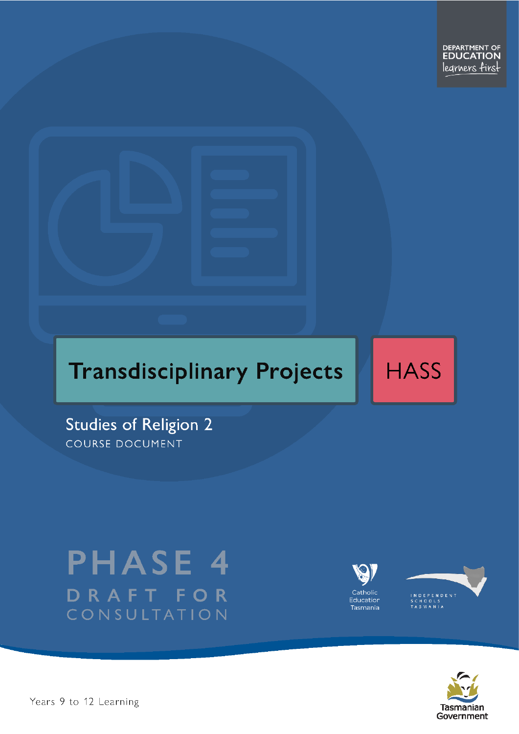

**HASS** 

**Studies of Religion 2** COURSE DOCUMENT

# **PHASE 4** DRAFT FOR CONSULTATION







Years 9 to 12 Learning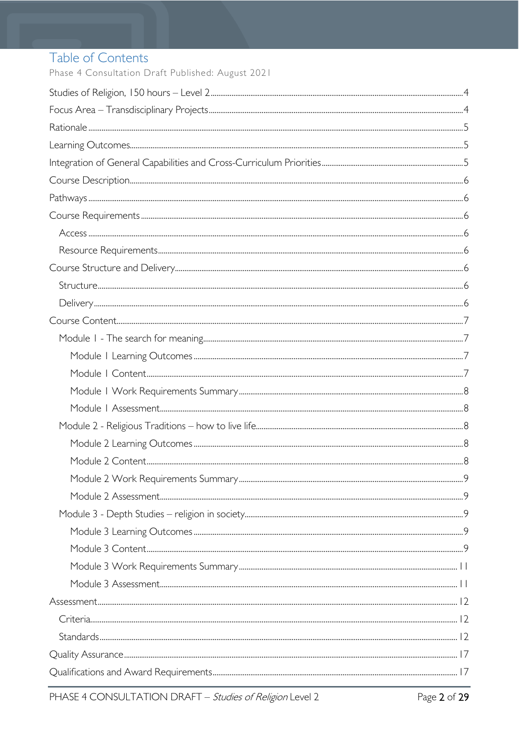# Table of Contents

Phase 4 Consultation Draft Published: August 2021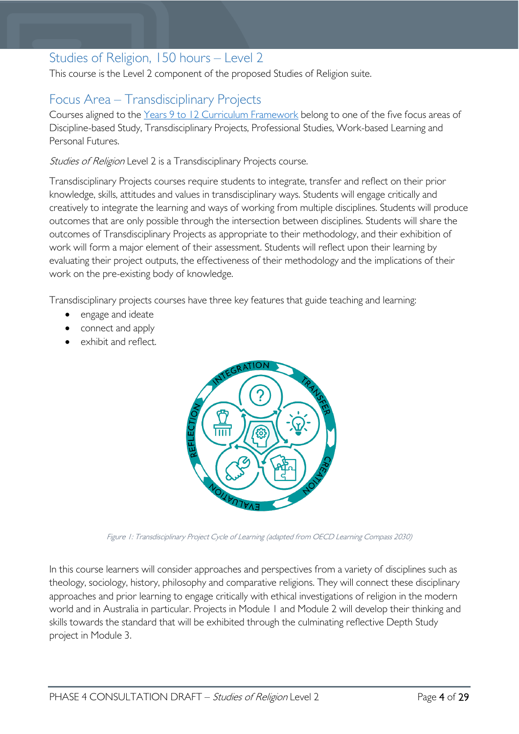### <span id="page-3-0"></span>Studies of Religion, 150 hours – Level 2

This course is the Level 2 component of the proposed Studies of Religion suite.

### <span id="page-3-1"></span>Focus Area – Transdisciplinary Projects

Courses aligned to the Years 9 to 12 Curriculum [Framework](https://publicdocumentcentre.education.tas.gov.au/library/Shared%20Documents/Education%209-12%20Frameworks%20A3%20WEB%20POSTER.pdf) belong to one of the five focus areas of Discipline-based Study, Transdisciplinary Projects, Professional Studies, Work-based Learning and Personal Futures.

Studies of Religion Level 2 is a Transdisciplinary Projects course.

Transdisciplinary Projects courses require students to integrate, transfer and reflect on their prior knowledge, skills, attitudes and values in transdisciplinary ways. Students will engage critically and creatively to integrate the learning and ways of working from multiple disciplines. Students will produce outcomes that are only possible through the intersection between disciplines. Students will share the outcomes of Transdisciplinary Projects as appropriate to their methodology, and their exhibition of work will form a major element of their assessment. Students will reflect upon their learning by evaluating their project outputs, the effectiveness of their methodology and the implications of their work on the pre-existing body of knowledge.

Transdisciplinary projects courses have three key features that guide teaching and learning:

- engage and ideate
- connect and apply
- exhibit and reflect.



Figure 1: Transdisciplinary Project Cycle of Learning (adapted from OECD Learning Compass 2030)

In this course learners will consider approaches and perspectives from a variety of disciplines such as theology, sociology, history, philosophy and comparative religions. They will connect these disciplinary approaches and prior learning to engage critically with ethical investigations of religion in the modern world and in Australia in particular. Projects in Module 1 and Module 2 will develop their thinking and skills towards the standard that will be exhibited through the culminating reflective Depth Study project in Module 3.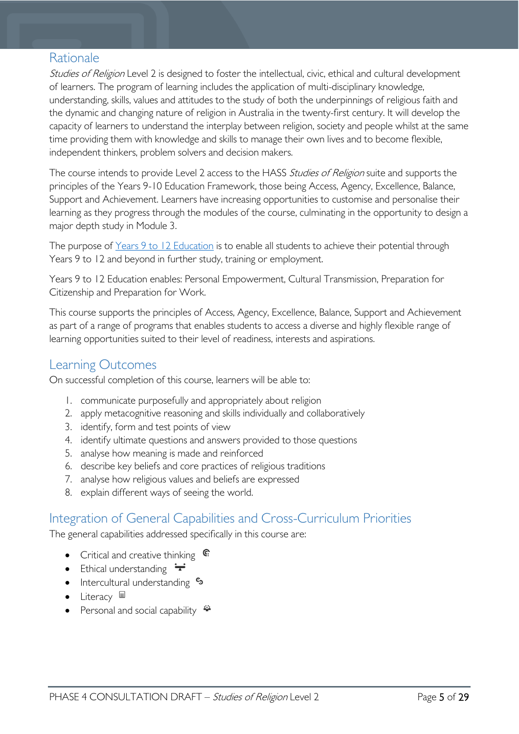### <span id="page-4-0"></span>Rationale

Studies of Religion Level 2 is designed to foster the intellectual, civic, ethical and cultural development of learners. The program of learning includes the application of multi-disciplinary knowledge, understanding, skills, values and attitudes to the study of both the underpinnings of religious faith and the dynamic and changing nature of religion in Australia in the twenty-first century. It will develop the capacity of learners to understand the interplay between religion, society and people whilst at the same time providing them with knowledge and skills to manage their own lives and to become flexible, independent thinkers, problem solvers and decision makers.

The course intends to provide Level 2 access to the HASS Studies of Religion suite and supports the principles of the Years 9-10 Education Framework, those being Access, Agency, Excellence, Balance, Support and Achievement. Learners have increasing opportunities to customise and personalise their learning as they progress through the modules of the course, culminating in the opportunity to design a major depth study in Module 3.

The purpose of [Years 9 to 12 Education](https://publicdocumentcentre.education.tas.gov.au/library/Shared%20Documents/Years-9-to-12-Education-Framework.pdf) is to enable all students to achieve their potential through Years 9 to 12 and beyond in further study, training or employment.

Years 9 to 12 Education enables: Personal Empowerment, Cultural Transmission, Preparation for Citizenship and Preparation for Work.

This course supports the principles of Access, Agency, Excellence, Balance, Support and Achievement as part of a range of programs that enables students to access a diverse and highly flexible range of learning opportunities suited to their level of readiness, interests and aspirations.

### <span id="page-4-1"></span>Learning Outcomes

On successful completion of this course, learners will be able to:

- 1. communicate purposefully and appropriately about religion
- 2. apply metacognitive reasoning and skills individually and collaboratively
- 3. identify, form and test points of view
- 4. identify ultimate questions and answers provided to those questions
- 5. analyse how meaning is made and reinforced
- 6. describe key beliefs and core practices of religious traditions
- 7. analyse how religious values and beliefs are expressed
- 8. explain different ways of seeing the world.

### <span id="page-4-2"></span>Integration of General Capabilities and Cross-Curriculum Priorities

The general capabilities addressed specifically in this course are:

- Critical and creative thinking  $\mathbb{C}$
- Ethical understanding  $\div$
- Intercultural understanding •
- Literacy  $\blacksquare$
- Personal and social capability  $\ddot{\bullet}$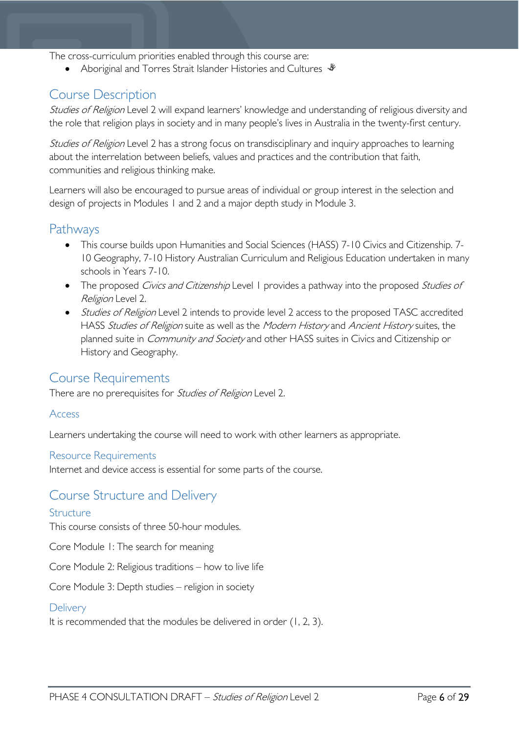The cross-curriculum priorities enabled through this course are:

• Aboriginal and Torres Strait Islander Histories and Cultures  $\mathcal$ 

### <span id="page-5-0"></span>Course Description

Studies of Religion Level 2 will expand learners' knowledge and understanding of religious diversity and the role that religion plays in society and in many people's lives in Australia in the twenty-first century.

Studies of Religion Level 2 has a strong focus on transdisciplinary and inquiry approaches to learning about the interrelation between beliefs, values and practices and the contribution that faith, communities and religious thinking make.

Learners will also be encouraged to pursue areas of individual or group interest in the selection and design of projects in Modules 1 and 2 and a major depth study in Module 3.

### <span id="page-5-1"></span>Pathways

- This course builds upon Humanities and Social Sciences (HASS) 7-10 Civics and Citizenship. 7- 10 Geography, 7-10 History Australian Curriculum and Religious Education undertaken in many schools in Years 7-10.
- The proposed Civics and Citizenship Level 1 provides a pathway into the proposed Studies of Religion Level 2.
- Studies of Religion Level 2 intends to provide level 2 access to the proposed TASC accredited HASS Studies of Religion suite as well as the Modern History and Ancient History suites, the planned suite in *Community and Society* and other HASS suites in Civics and Citizenship or History and Geography.

### <span id="page-5-2"></span>Course Requirements

There are no prerequisites for *Studies of Religion* Level 2.

#### <span id="page-5-3"></span>Access

Learners undertaking the course will need to work with other learners as appropriate.

#### <span id="page-5-4"></span>Resource Requirements

Internet and device access is essential for some parts of the course.

#### <span id="page-5-5"></span>Course Structure and Delivery

#### <span id="page-5-6"></span>Structure

This course consists of three 50-hour modules.

Core Module 1: The search for meaning

Core Module 2: Religious traditions – how to live life

Core Module 3: Depth studies – religion in society

#### <span id="page-5-7"></span>**Delivery**

It is recommended that the modules be delivered in order (1, 2, 3).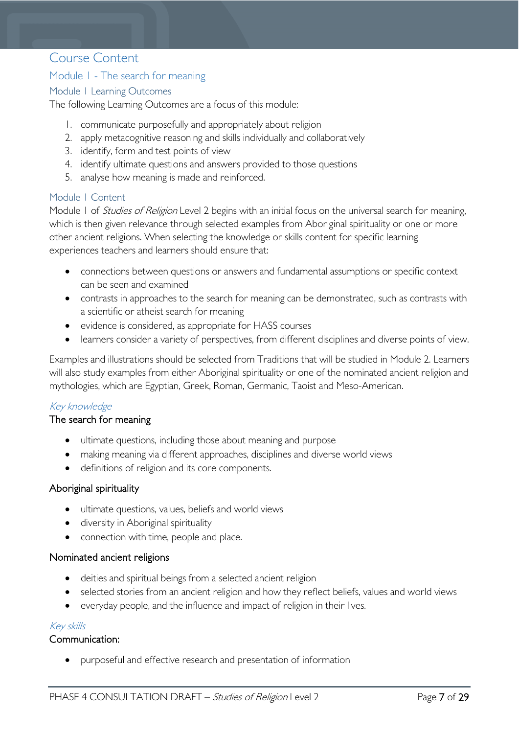### <span id="page-6-0"></span>Course Content

#### <span id="page-6-1"></span>Module 1 - The search for meaning

#### <span id="page-6-2"></span>Module 1 Learning Outcomes

The following Learning Outcomes are a focus of this module:

- 1. communicate purposefully and appropriately about religion
- 2. apply metacognitive reasoning and skills individually and collaboratively
- 3. identify, form and test points of view
- 4. identify ultimate questions and answers provided to those questions
- 5. analyse how meaning is made and reinforced.

#### <span id="page-6-3"></span>Module 1 Content

Module 1 of *Studies of Religion* Level 2 begins with an initial focus on the universal search for meaning, which is then given relevance through selected examples from Aboriginal spirituality or one or more other ancient religions. When selecting the knowledge or skills content for specific learning experiences teachers and learners should ensure that:

- connections between questions or answers and fundamental assumptions or specific context can be seen and examined
- contrasts in approaches to the search for meaning can be demonstrated, such as contrasts with a scientific or atheist search for meaning
- evidence is considered, as appropriate for HASS courses
- learners consider a variety of perspectives, from different disciplines and diverse points of view.

Examples and illustrations should be selected from Traditions that will be studied in Module 2. Learners will also study examples from either Aboriginal spirituality or one of the nominated ancient religion and mythologies, which are Egyptian, Greek, Roman, Germanic, Taoist and Meso-American.

#### Key knowledge

#### The search for meaning

- ultimate questions, including those about meaning and purpose
- making meaning via different approaches, disciplines and diverse world views
- definitions of religion and its core components.

#### Aboriginal spirituality

- ultimate questions, values, beliefs and world views
- diversity in Aboriginal spirituality
- connection with time, people and place.

#### Nominated ancient religions

- deities and spiritual beings from a selected ancient religion
- selected stories from an ancient religion and how they reflect beliefs, values and world views
- everyday people, and the influence and impact of religion in their lives.

#### Key skills

#### Communication:

• purposeful and effective research and presentation of information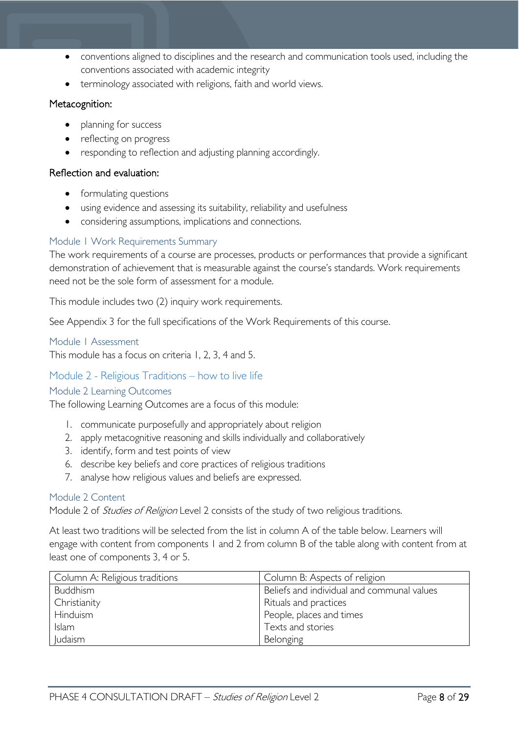- conventions aligned to disciplines and the research and communication tools used, including the conventions associated with academic integrity
- terminology associated with religions, faith and world views.

#### Metacognition:

- planning for success
- reflecting on progress
- responding to reflection and adjusting planning accordingly.

#### Reflection and evaluation:

- formulating questions
- using evidence and assessing its suitability, reliability and usefulness
- considering assumptions, implications and connections.

#### <span id="page-7-0"></span>Module 1 Work Requirements Summary

The work requirements of a course are processes, products or performances that provide a significant demonstration of achievement that is measurable against the course's standards. Work requirements need not be the sole form of assessment for a module.

This module includes two (2) inquiry work requirements.

See Appendix 3 for the full specifications of the Work Requirements of this course.

#### <span id="page-7-1"></span>Module 1 Assessment

This module has a focus on criteria 1, 2, 3, 4 and 5.

#### <span id="page-7-2"></span>Module 2 - Religious Traditions – how to live life

#### <span id="page-7-3"></span>Module 2 Learning Outcomes

The following Learning Outcomes are a focus of this module:

- 1. communicate purposefully and appropriately about religion
- 2. apply metacognitive reasoning and skills individually and collaboratively
- 3. identify, form and test points of view
- 6. describe key beliefs and core practices of religious traditions
- 7. analyse how religious values and beliefs are expressed.

#### <span id="page-7-4"></span>Module 2 Content

Module 2 of *Studies of Religion* Level 2 consists of the study of two religious traditions.

At least two traditions will be selected from the list in column A of the table below. Learners will engage with content from components 1 and 2 from column B of the table along with content from at least one of components 3, 4 or 5.

| Column A: Religious traditions | Column B: Aspects of religion              |
|--------------------------------|--------------------------------------------|
| Buddhism                       | Beliefs and individual and communal values |
| Christianity                   | Rituals and practices                      |
| Hinduism                       | People, places and times                   |
| <b>Islam</b>                   | Texts and stories                          |
| <b>Judaism</b>                 | Belonging                                  |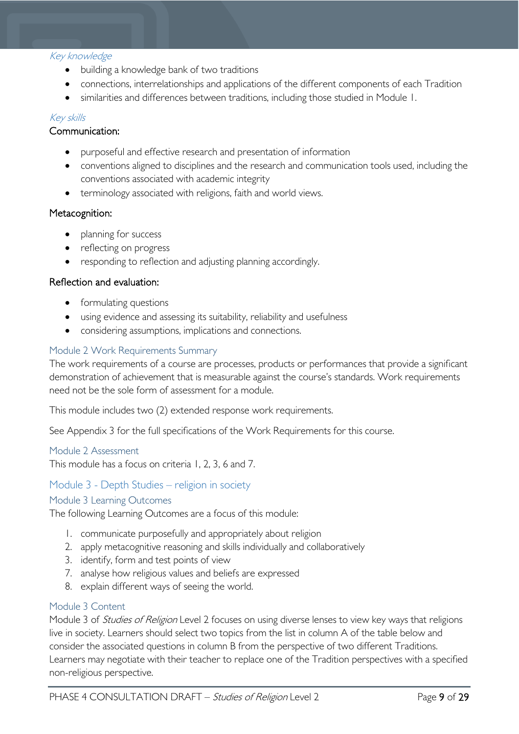#### Key knowledge

- building a knowledge bank of two traditions
- connections, interrelationships and applications of the different components of each Tradition
- similarities and differences between traditions, including those studied in Module 1.

#### Key skills

#### Communication:

- purposeful and effective research and presentation of information
- conventions aligned to disciplines and the research and communication tools used, including the conventions associated with academic integrity
- terminology associated with religions, faith and world views.

#### Metacognition:

- planning for success
- reflecting on progress
- responding to reflection and adjusting planning accordingly.

#### Reflection and evaluation:

- formulating questions
- using evidence and assessing its suitability, reliability and usefulness
- considering assumptions, implications and connections.

#### <span id="page-8-0"></span>Module 2 Work Requirements Summary

The work requirements of a course are processes, products or performances that provide a significant demonstration of achievement that is measurable against the course's standards. Work requirements need not be the sole form of assessment for a module.

This module includes two (2) extended response work requirements.

See Appendix 3 for the full specifications of the Work Requirements for this course.

#### <span id="page-8-1"></span>Module 2 Assessment

This module has a focus on criteria 1, 2, 3, 6 and 7.

#### <span id="page-8-2"></span>Module 3 - Depth Studies – religion in society

#### <span id="page-8-3"></span>Module 3 Learning Outcomes

The following Learning Outcomes are a focus of this module:

- 1. communicate purposefully and appropriately about religion
- 2. apply metacognitive reasoning and skills individually and collaboratively
- 3. identify, form and test points of view
- 7. analyse how religious values and beliefs are expressed
- 8. explain different ways of seeing the world.

#### <span id="page-8-4"></span>Module 3 Content

Module 3 of *Studies of Religion* Level 2 focuses on using diverse lenses to view key ways that religions live in society. Learners should select two topics from the list in column A of the table below and consider the associated questions in column B from the perspective of two different Traditions. Learners may negotiate with their teacher to replace one of the Tradition perspectives with a specified non-religious perspective.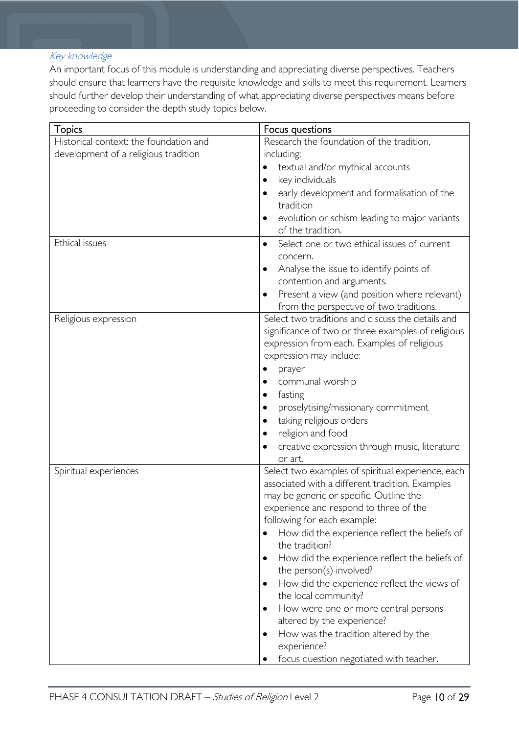#### Key knowledge

An important focus of this module is understanding and appreciating diverse perspectives. Teachers should ensure that learners have the requisite knowledge and skills to meet this requirement. Learners should further develop their understanding of what appreciating diverse perspectives means before proceeding to consider the depth study topics below.

| <b>Topics</b>                          | Focus questions                                                                       |  |  |
|----------------------------------------|---------------------------------------------------------------------------------------|--|--|
| Historical context: the foundation and | Research the foundation of the tradition,                                             |  |  |
| development of a religious tradition   | including:                                                                            |  |  |
|                                        | textual and/or mythical accounts                                                      |  |  |
|                                        | key individuals<br>٠                                                                  |  |  |
|                                        | early development and formalisation of the<br>$\bullet$<br>tradition                  |  |  |
|                                        | evolution or schism leading to major variants<br>$\bullet$<br>of the tradition.       |  |  |
| Ethical issues                         | Select one or two ethical issues of current<br>$\bullet$                              |  |  |
|                                        | concern.                                                                              |  |  |
|                                        | Analyse the issue to identify points of<br>$\bullet$<br>contention and arguments.     |  |  |
|                                        | Present a view (and position where relevant)                                          |  |  |
|                                        | from the perspective of two traditions.                                               |  |  |
| Religious expression                   | Select two traditions and discuss the details and                                     |  |  |
|                                        | significance of two or three examples of religious                                    |  |  |
|                                        | expression from each. Examples of religious                                           |  |  |
|                                        | expression may include:                                                               |  |  |
|                                        | prayer                                                                                |  |  |
|                                        | communal worship                                                                      |  |  |
|                                        | fasting<br>٠                                                                          |  |  |
|                                        | proselytising/missionary commitment                                                   |  |  |
|                                        | taking religious orders<br>٠                                                          |  |  |
|                                        | religion and food<br>$\bullet$                                                        |  |  |
|                                        | creative expression through music, literature<br>٠                                    |  |  |
|                                        | or art.                                                                               |  |  |
| Spiritual experiences                  | Select two examples of spiritual experience, each                                     |  |  |
|                                        | associated with a different tradition. Examples                                       |  |  |
|                                        | may be generic or specific. Outline the                                               |  |  |
|                                        | experience and respond to three of the                                                |  |  |
|                                        | following for each example:                                                           |  |  |
|                                        | How did the experience reflect the beliefs of<br>the tradition?                       |  |  |
|                                        | How did the experience reflect the beliefs of<br>$\bullet$<br>the person(s) involved? |  |  |
|                                        | How did the experience reflect the views of<br>$\bullet$<br>the local community?      |  |  |
|                                        | How were one or more central persons<br>$\bullet$                                     |  |  |
|                                        | altered by the experience?                                                            |  |  |
|                                        | How was the tradition altered by the<br>experience?                                   |  |  |
|                                        | focus question negotiated with teacher.                                               |  |  |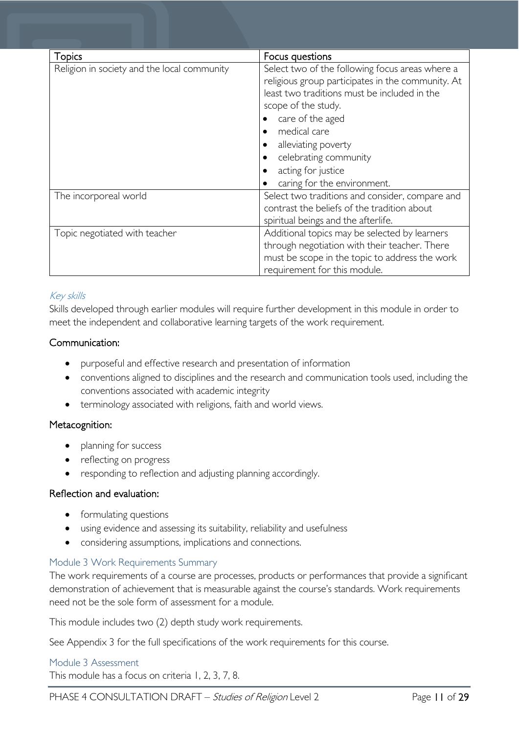| <b>Topics</b>                               | Focus questions                                                                                                                                                                                                                                                                                                                                |
|---------------------------------------------|------------------------------------------------------------------------------------------------------------------------------------------------------------------------------------------------------------------------------------------------------------------------------------------------------------------------------------------------|
| Religion in society and the local community | Select two of the following focus areas where a<br>religious group participates in the community. At<br>least two traditions must be included in the<br>scope of the study.<br>care of the aged<br>medical care<br>alleviating poverty<br>$\bullet$<br>celebrating community<br>$\bullet$<br>acting for justice<br>caring for the environment. |
| The incorporeal world                       | Select two traditions and consider, compare and<br>contrast the beliefs of the tradition about<br>spiritual beings and the afterlife.                                                                                                                                                                                                          |
| Topic negotiated with teacher               | Additional topics may be selected by learners<br>through negotiation with their teacher. There<br>must be scope in the topic to address the work<br>requirement for this module.                                                                                                                                                               |

#### Key skills

Skills developed through earlier modules will require further development in this module in order to meet the independent and collaborative learning targets of the work requirement.

#### Communication:

- purposeful and effective research and presentation of information
- conventions aligned to disciplines and the research and communication tools used, including the conventions associated with academic integrity
- terminology associated with religions, faith and world views.

#### Metacognition:

- planning for success
- reflecting on progress
- responding to reflection and adjusting planning accordingly.

#### Reflection and evaluation:

- formulating questions
- using evidence and assessing its suitability, reliability and usefulness
- considering assumptions, implications and connections.

#### <span id="page-10-0"></span>Module 3 Work Requirements Summary

The work requirements of a course are processes, products or performances that provide a significant demonstration of achievement that is measurable against the course's standards. Work requirements need not be the sole form of assessment for a module.

This module includes two (2) depth study work requirements.

See Appendix 3 for the full specifications of the work requirements for this course.

#### <span id="page-10-1"></span>Module 3 Assessment

This module has a focus on criteria 1, 2, 3, 7, 8.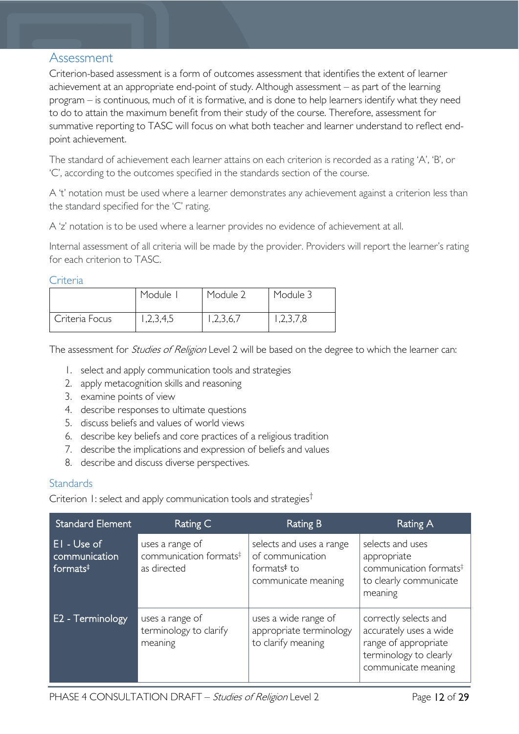### <span id="page-11-0"></span>Assessment

Criterion-based assessment is a form of outcomes assessment that identifies the extent of learner achievement at an appropriate end-point of study. Although assessment – as part of the learning program – is continuous, much of it is formative, and is done to help learners identify what they need to do to attain the maximum benefit from their study of the course. Therefore, assessment for summative reporting to TASC will focus on what both teacher and learner understand to reflect endpoint achievement.

The standard of achievement each learner attains on each criterion is recorded as a rating 'A', 'B', or 'C', according to the outcomes specified in the standards section of the course.

A 't' notation must be used where a learner demonstrates any achievement against a criterion less than the standard specified for the 'C' rating.

A 'z' notation is to be used where a learner provides no evidence of achievement at all.

Internal assessment of all criteria will be made by the provider. Providers will report the learner's rating for each criterion to TASC.

#### <span id="page-11-1"></span>**Criteria**

|                | Module    | Module 2 | Module 3  |
|----------------|-----------|----------|-----------|
| Criteria Focus | 1,2,3,4,5 | ,2,3,6,7 | 1,2,3,7,8 |

The assessment for *Studies of Religion* Level 2 will be based on the degree to which the learner can:

- 1. select and apply communication tools and strategies
- 2. apply metacognition skills and reasoning
- 3. examine points of view
- 4. describe responses to ultimate questions
- 5. discuss beliefs and values of world views
- 6. describe key beliefs and core practices of a religious tradition
- 7. describe the implications and expression of beliefs and values
- 8. describe and discuss diverse perspectives.

#### <span id="page-11-2"></span>**Standards**

Criterion 1: select and apply communication tools and strategies†

| <b>Standard Element</b>                              | Rating C                                                             | Rating B                                                                                       | Rating A                                                                                                                 |
|------------------------------------------------------|----------------------------------------------------------------------|------------------------------------------------------------------------------------------------|--------------------------------------------------------------------------------------------------------------------------|
| EI - Use of<br>communication<br>formats <sup>‡</sup> | uses a range of<br>communication formats <sup>#</sup><br>as directed | selects and uses a range<br>of communication<br>formats <sup>#</sup> to<br>communicate meaning | selects and uses<br>appropriate<br>communication formats <sup>#</sup><br>to clearly communicate<br>meaning               |
| E2 - Terminology                                     | uses a range of<br>terminology to clarify<br>meaning                 | uses a wide range of<br>appropriate terminology<br>to clarify meaning                          | correctly selects and<br>accurately uses a wide<br>range of appropriate<br>terminology to clearly<br>communicate meaning |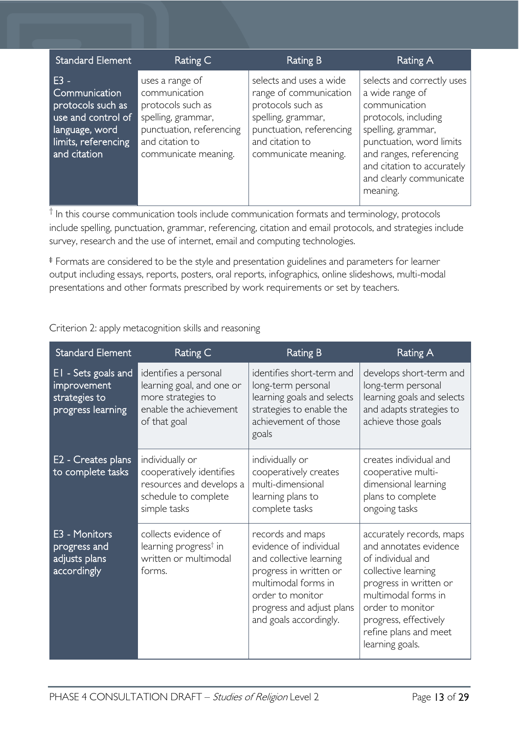| <b>Standard Element</b>                                                                                                     | Rating C                                                                                                                                           | Rating B                                                                                                                                                            | Rating A                                                                                                                                                                                                                                 |
|-----------------------------------------------------------------------------------------------------------------------------|----------------------------------------------------------------------------------------------------------------------------------------------------|---------------------------------------------------------------------------------------------------------------------------------------------------------------------|------------------------------------------------------------------------------------------------------------------------------------------------------------------------------------------------------------------------------------------|
| $E3 -$<br>Communication<br>protocols such as<br>use and control of<br>language, word<br>limits, referencing<br>and citation | uses a range of<br>communication<br>protocols such as<br>spelling, grammar,<br>punctuation, referencing<br>and citation to<br>communicate meaning. | selects and uses a wide<br>range of communication<br>protocols such as<br>spelling, grammar,<br>punctuation, referencing<br>and citation to<br>communicate meaning. | selects and correctly uses<br>a wide range of<br>communication<br>protocols, including<br>spelling, grammar,<br>punctuation, word limits<br>and ranges, referencing<br>and citation to accurately<br>and clearly communicate<br>meaning. |

 $\dagger$  In this course communication tools include communication formats and terminology, protocols include spelling, punctuation, grammar, referencing, citation and email protocols, and strategies include survey, research and the use of internet, email and computing technologies.

‡ Formats are considered to be the style and presentation guidelines and parameters for learner output including essays, reports, posters, oral reports, infographics, online slideshows, multi-modal presentations and other formats prescribed by work requirements or set by teachers.

Criterion 2: apply metacognition skills and reasoning

| <b>Standard Element</b>                                                  | <b>Rating C</b>                                                                                                    | <b>Rating B</b>                                                                                                                                                                                   | Rating A                                                                                                                                                                                                                                 |
|--------------------------------------------------------------------------|--------------------------------------------------------------------------------------------------------------------|---------------------------------------------------------------------------------------------------------------------------------------------------------------------------------------------------|------------------------------------------------------------------------------------------------------------------------------------------------------------------------------------------------------------------------------------------|
| EI - Sets goals and<br>improvement<br>strategies to<br>progress learning | identifies a personal<br>learning goal, and one or<br>more strategies to<br>enable the achievement<br>of that goal | identifies short-term and<br>long-term personal<br>learning goals and selects<br>strategies to enable the<br>achievement of those<br>goals                                                        | develops short-term and<br>long-term personal<br>learning goals and selects<br>and adapts strategies to<br>achieve those goals                                                                                                           |
| E2 - Creates plans<br>to complete tasks                                  | individually or<br>cooperatively identifies<br>resources and develops a<br>schedule to complete<br>simple tasks    | individually or<br>cooperatively creates<br>multi-dimensional<br>learning plans to<br>complete tasks                                                                                              | creates individual and<br>cooperative multi-<br>dimensional learning<br>plans to complete<br>ongoing tasks                                                                                                                               |
| E3 - Monitors<br>progress and<br>adjusts plans<br>accordingly            | collects evidence of<br>learning progress <sup>†</sup> in<br>written or multimodal<br>forms.                       | records and maps<br>evidence of individual<br>and collective learning<br>progress in written or<br>multimodal forms in<br>order to monitor<br>progress and adjust plans<br>and goals accordingly. | accurately records, maps<br>and annotates evidence<br>of individual and<br>collective learning<br>progress in written or<br>multimodal forms in<br>order to monitor<br>progress, effectively<br>refine plans and meet<br>learning goals. |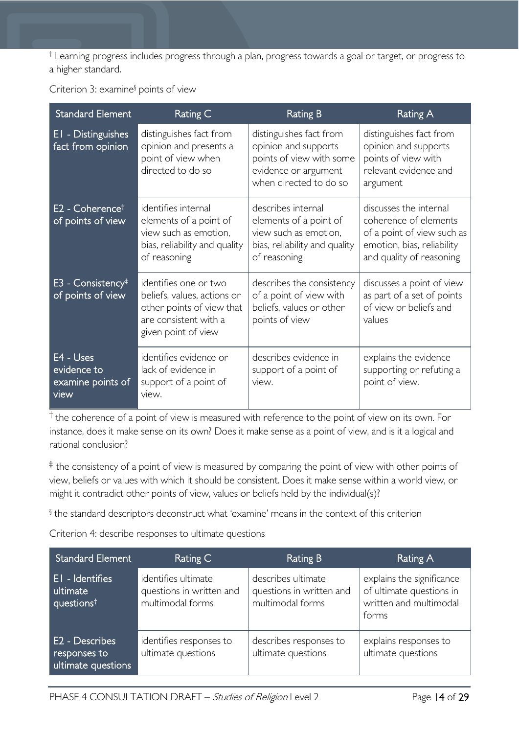† Learning progress includes progress through a plan, progress towards a goal or target, or progress to a higher standard.

| <b>Standard Element</b>                               | Rating C                                                                                                                          | <b>Rating B</b>                                                                                                               | Rating A                                                                                                                                |
|-------------------------------------------------------|-----------------------------------------------------------------------------------------------------------------------------------|-------------------------------------------------------------------------------------------------------------------------------|-----------------------------------------------------------------------------------------------------------------------------------------|
| EI - Distinguishes<br>fact from opinion               | distinguishes fact from<br>opinion and presents a<br>point of view when<br>directed to do so                                      | distinguishes fact from<br>opinion and supports<br>points of view with some<br>evidence or argument<br>when directed to do so | distinguishes fact from<br>opinion and supports<br>points of view with<br>relevant evidence and<br>argument                             |
| $E2$ - Coherence <sup>†</sup><br>of points of view    | identifies internal<br>elements of a point of<br>view such as emotion,<br>bias, reliability and quality<br>of reasoning           | describes internal<br>elements of a point of<br>view such as emotion,<br>bias, reliability and quality<br>of reasoning        | discusses the internal<br>coherence of elements<br>of a point of view such as<br>emotion, bias, reliability<br>and quality of reasoning |
| $E3$ - Consistency <sup>‡</sup><br>of points of view  | identifies one or two<br>beliefs, values, actions or<br>other points of view that<br>are consistent with a<br>given point of view | describes the consistency<br>of a point of view with<br>beliefs, values or other<br>points of view                            | discusses a point of view<br>as part of a set of points<br>of view or beliefs and<br>values                                             |
| E4 - Uses<br>evidence to<br>examine points of<br>view | identifies evidence or<br>lack of evidence in<br>support of a point of<br>view.                                                   | describes evidence in<br>support of a point of<br>view.                                                                       | explains the evidence<br>supporting or refuting a<br>point of view.                                                                     |

 $<sup>†</sup>$  the coherence of a point of view is measured with reference to the point of view on its own. For</sup> instance, does it make sense on its own? Does it make sense as a point of view, and is it a logical and rational conclusion?

‡ the consistency of a point of view is measured by comparing the point of view with other points of view, beliefs or values with which it should be consistent. Does it make sense within a world view, or might it contradict other points of view, values or beliefs held by the individual(s)?

§ the standard descriptors deconstruct what 'examine' means in the context of this criterion

Criterion 4: describe responses to ultimate questions

| <b>Standard Element</b>                               | Rating C                                                            | Rating B                                                           | Rating A                                                                                 |
|-------------------------------------------------------|---------------------------------------------------------------------|--------------------------------------------------------------------|------------------------------------------------------------------------------------------|
| EI - Identifies<br>ultimate<br>questions <sup>t</sup> | identifies ultimate<br>questions in written and<br>multimodal forms | describes ultimate<br>questions in written and<br>multimodal forms | explains the significance<br>of ultimate questions in<br>written and multimodal<br>forms |
| E2 - Describes<br>responses to<br>ultimate questions  | identifies responses to<br>ultimate questions                       | describes responses to<br>ultimate questions                       | explains responses to<br>ultimate questions                                              |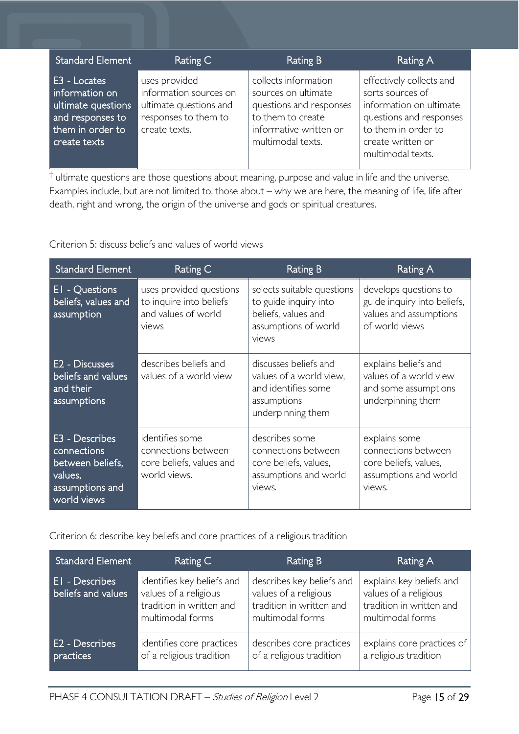| <b>Standard Element</b>                                                                                      | Rating C                                                                                                   | Rating B                                                                                                                                   | <b>Rating A</b>                                                                                                                                                     |
|--------------------------------------------------------------------------------------------------------------|------------------------------------------------------------------------------------------------------------|--------------------------------------------------------------------------------------------------------------------------------------------|---------------------------------------------------------------------------------------------------------------------------------------------------------------------|
| E3 - Locates<br>information on<br>ultimate questions<br>and responses to<br>them in order to<br>create texts | uses provided<br>information sources on<br>ultimate questions and<br>responses to them to<br>create texts. | collects information<br>sources on ultimate<br>questions and responses<br>to them to create<br>informative written or<br>multimodal texts. | effectively collects and<br>sorts sources of<br>information on ultimate<br>questions and responses<br>to them in order to<br>create written or<br>multimodal texts. |

 $<sup>†</sup>$  ultimate questions are those questions about meaning, purpose and value in life and the universe.</sup> Examples include, but are not limited to, those about – why we are here, the meaning of life, life after death, right and wrong, the origin of the universe and gods or spiritual creatures.

Criterion 5: discuss beliefs and values of world views

| <b>Standard Element</b>                                                                                                                                                              | Rating C                                                                                                                                                                                          | <b>Rating B</b>                                                                                             | Rating A                                                                                         |  |
|--------------------------------------------------------------------------------------------------------------------------------------------------------------------------------------|---------------------------------------------------------------------------------------------------------------------------------------------------------------------------------------------------|-------------------------------------------------------------------------------------------------------------|--------------------------------------------------------------------------------------------------|--|
| EI - Questions<br>beliefs, values and<br>assumption                                                                                                                                  | uses provided questions<br>selects suitable questions<br>to inquire into beliefs<br>to guide inquiry into<br>and values of world<br>beliefs, values and<br>assumptions of world<br>views<br>views |                                                                                                             | develops questions to<br>guide inquiry into beliefs,<br>values and assumptions<br>of world views |  |
| E <sub>2</sub> - Discusses<br>beliefs and values<br>and their<br>assumptions                                                                                                         | describes beliefs and<br>values of a world view                                                                                                                                                   | discusses beliefs and<br>values of a world view,<br>and identifies some<br>assumptions<br>underpinning them | explains beliefs and<br>values of a world view<br>and some assumptions<br>underpinning them      |  |
| E3 - Describes<br>identifies some<br>connections<br>connections between<br>between beliefs,<br>core beliefs, values and<br>world views.<br>values,<br>assumptions and<br>world views |                                                                                                                                                                                                   | describes some<br>connections between<br>core beliefs, values,<br>assumptions and world<br>views.           | explains some<br>connections between<br>core beliefs, values,<br>assumptions and world<br>views. |  |

Criterion 6: describe key beliefs and core practices of a religious tradition

| <b>Standard Element</b>                 | Rating C                                                                                            | Rating B                                                                                           | Rating A                                                                                          |
|-----------------------------------------|-----------------------------------------------------------------------------------------------------|----------------------------------------------------------------------------------------------------|---------------------------------------------------------------------------------------------------|
| EI - Describes<br>beliefs and values    | identifies key beliefs and<br>values of a religious<br>tradition in written and<br>multimodal forms | describes key beliefs and<br>values of a religious<br>tradition in written and<br>multimodal forms | explains key beliefs and<br>values of a religious<br>tradition in written and<br>multimodal forms |
| E <sub>2</sub> - Describes<br>practices | identifies core practices<br>of a religious tradition                                               | describes core practices<br>of a religious tradition                                               | explains core practices of<br>a religious tradition                                               |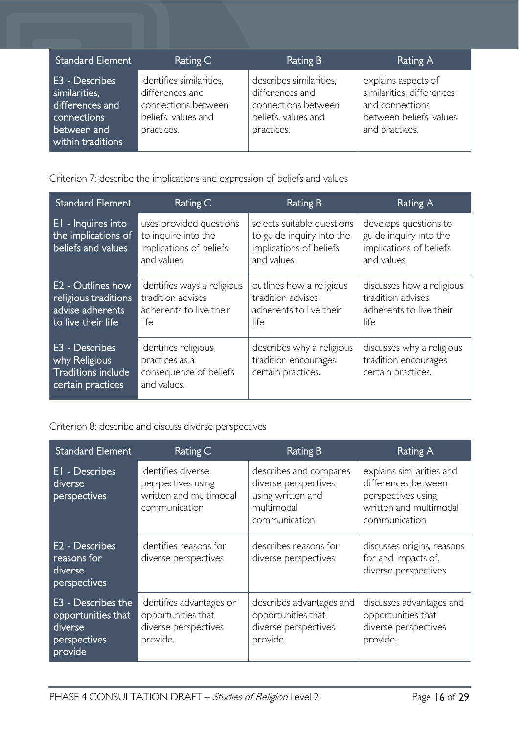| <b>Standard Element</b>                                                                               | Rating C                                                                                                | Rating B                                                                                               | Rating A                                                                                                         |
|-------------------------------------------------------------------------------------------------------|---------------------------------------------------------------------------------------------------------|--------------------------------------------------------------------------------------------------------|------------------------------------------------------------------------------------------------------------------|
| E3 - Describes<br>similarities,<br>differences and<br>connections<br>between and<br>within traditions | identifies similarities,<br>differences and<br>connections between<br>beliefs, values and<br>practices. | describes similarities,<br>differences and<br>connections between<br>beliefs, values and<br>practices. | explains aspects of<br>similarities, differences<br>and connections<br>between beliefs, values<br>and practices. |

Criterion 7: describe the implications and expression of beliefs and values

| <b>Standard Element</b>                                                                    | Rating C                                                                                | <b>Rating B</b>                                                                                  | Rating A                                                                                 |
|--------------------------------------------------------------------------------------------|-----------------------------------------------------------------------------------------|--------------------------------------------------------------------------------------------------|------------------------------------------------------------------------------------------|
| EI - Inquires into<br>the implications of<br>beliefs and values                            | uses provided questions<br>to inquire into the<br>implications of beliefs<br>and values | selects suitable questions<br>to guide inquiry into the<br>implications of beliefs<br>and values | develops questions to<br>guide inquiry into the<br>implications of beliefs<br>and values |
| <b>E2 - Outlines how</b><br>religious traditions<br>advise adherents<br>to live their life | identifies ways a religious<br>tradition advises<br>adherents to live their<br>life     | outlines how a religious<br>tradition advises<br>adherents to live their<br>life                 | discusses how a religious<br>tradition advises<br>adherents to live their<br>life        |
| E3 - Describes<br>why Religious<br><b>Traditions include</b><br>certain practices          | identifies religious<br>practices as a<br>consequence of beliefs<br>and values.         | describes why a religious<br>tradition encourages<br>certain practices.                          | discusses why a religious<br>tradition encourages<br>certain practices.                  |

Criterion 8: describe and discuss diverse perspectives

| <b>Standard Element</b>                                                        | Rating C                                                                                                                                                                                                                                                                                     | <b>Rating B</b>                                                                    | Rating A                                                                                                          |
|--------------------------------------------------------------------------------|----------------------------------------------------------------------------------------------------------------------------------------------------------------------------------------------------------------------------------------------------------------------------------------------|------------------------------------------------------------------------------------|-------------------------------------------------------------------------------------------------------------------|
| EI - Describes<br>diverse<br>perspectives                                      | identifies diverse<br>describes and compares<br>diverse perspectives<br>perspectives using<br>written and multimodal<br>using written and<br>multimodal<br>communication<br>communication<br>identifies reasons for<br>describes reasons for<br>diverse perspectives<br>diverse perspectives |                                                                                    | explains similarities and<br>differences between<br>perspectives using<br>written and multimodal<br>communication |
| E <sub>2</sub> - Describes<br>reasons for<br>diverse<br>perspectives           |                                                                                                                                                                                                                                                                                              |                                                                                    | discusses origins, reasons<br>for and impacts of,<br>diverse perspectives                                         |
| E3 - Describes the<br>opportunities that<br>diverse<br>perspectives<br>provide | identifies advantages or<br>opportunities that<br>diverse perspectives<br>provide.                                                                                                                                                                                                           | describes advantages and<br>opportunities that<br>diverse perspectives<br>provide. | discusses advantages and<br>opportunities that<br>diverse perspectives<br>provide.                                |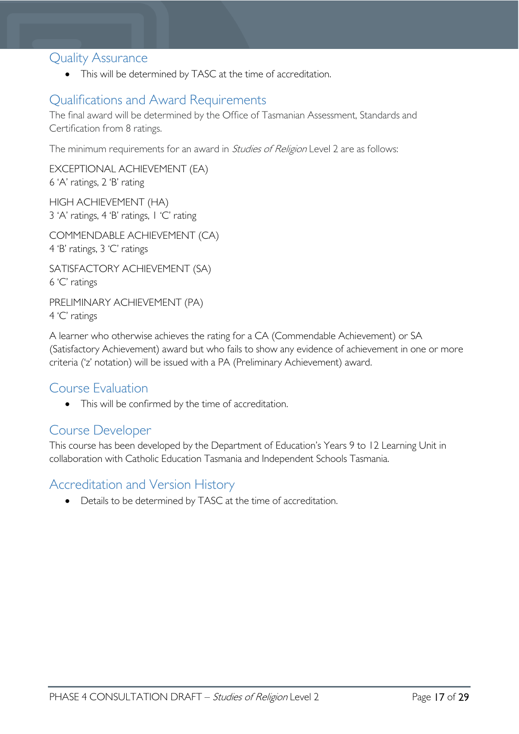### <span id="page-16-0"></span>Quality Assurance

• This will be determined by TASC at the time of accreditation.

### <span id="page-16-1"></span>Qualifications and Award Requirements

The final award will be determined by the Office of Tasmanian Assessment, Standards and Certification from 8 ratings.

The minimum requirements for an award in *Studies of Religion* Level 2 are as follows:

EXCEPTIONAL ACHIEVEMENT (EA) 6 'A' ratings, 2 'B' rating

HIGH ACHIEVEMENT (HA) 3 'A' ratings, 4 'B' ratings, 1 'C' rating

COMMENDABLE ACHIEVEMENT (CA) 4 'B' ratings, 3 'C' ratings

SATISFACTORY ACHIEVEMENT (SA) 6 'C' ratings

PRELIMINARY ACHIEVEMENT (PA) 4 'C' ratings

A learner who otherwise achieves the rating for a CA (Commendable Achievement) or SA (Satisfactory Achievement) award but who fails to show any evidence of achievement in one or more criteria ('z' notation) will be issued with a PA (Preliminary Achievement) award.

### <span id="page-16-2"></span>Course Evaluation

• This will be confirmed by the time of accreditation.

### <span id="page-16-3"></span>Course Developer

This course has been developed by the Department of Education's Years 9 to 12 Learning Unit in collaboration with Catholic Education Tasmania and Independent Schools Tasmania.

### <span id="page-16-4"></span>Accreditation and Version History

• Details to be determined by TASC at the time of accreditation.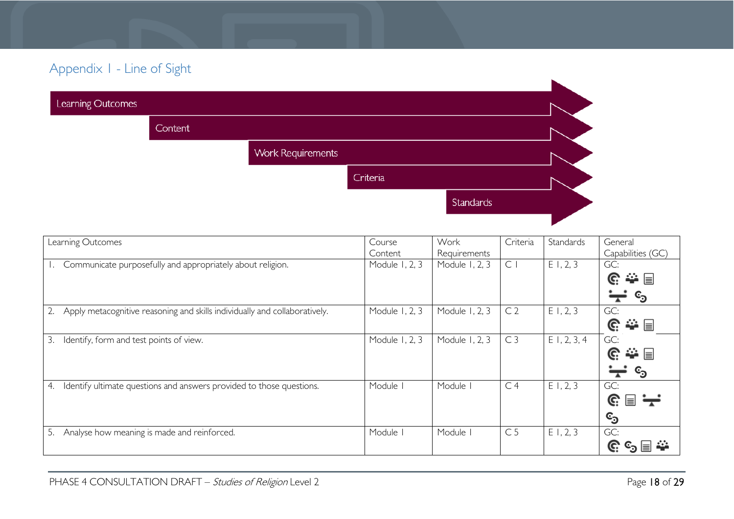# Appendix 1 - Line of Sight

| Learning Outcomes |         |                          |           |  |
|-------------------|---------|--------------------------|-----------|--|
|                   | Content |                          |           |  |
|                   |         | <b>Work Requirements</b> |           |  |
|                   |         |                          | Criteria  |  |
|                   |         |                          | Standards |  |
|                   |         |                          |           |  |

<span id="page-17-0"></span>

| Learning Outcomes                                                          | Course         | Work           | Criteria       | Standards      | General                    |
|----------------------------------------------------------------------------|----------------|----------------|----------------|----------------|----------------------------|
|                                                                            | Content        | Requirements   |                |                | Capabilities (GC)          |
| Communicate purposefully and appropriately about religion.                 | Module 1, 2, 3 | Module 1, 2, 3 | C <sub>1</sub> | E1, 2, 3       | GC:                        |
|                                                                            |                |                |                |                | 拳目<br>C.                   |
|                                                                            |                |                |                |                | $\mathbf{c_3}$<br>┳        |
| Apply metacognitive reasoning and skills individually and collaboratively. | Module 1, 2, 3 | Module 1, 2, 3 | C <sub>2</sub> | E1, 2, 3       | GC:                        |
|                                                                            |                |                |                |                | ⇔ ⊟<br>G.                  |
| 3.<br>Identify, form and test points of view.                              | Module 1, 2, 3 | Module 1, 2, 3 | C <sub>3</sub> | $E$ 1, 2, 3, 4 | GC:                        |
|                                                                            |                |                |                |                | ⇔ ⊟<br>C.                  |
|                                                                            |                |                |                |                | ©ු                         |
| Identify ultimate questions and answers provided to those questions.<br>4. | Module         | Module I       | C <sub>4</sub> | E1, 2, 3       | GC:                        |
|                                                                            |                |                |                |                | $\mathbb{G} \boxplus \div$ |
|                                                                            |                |                |                |                | <sup>င</sup> ာ             |
| Analyse how meaning is made and reinforced.<br>5.                          | Module         | Module I       | C <sub>5</sub> | E1, 2, 3       | GC:                        |
|                                                                            |                |                |                |                | ≣                          |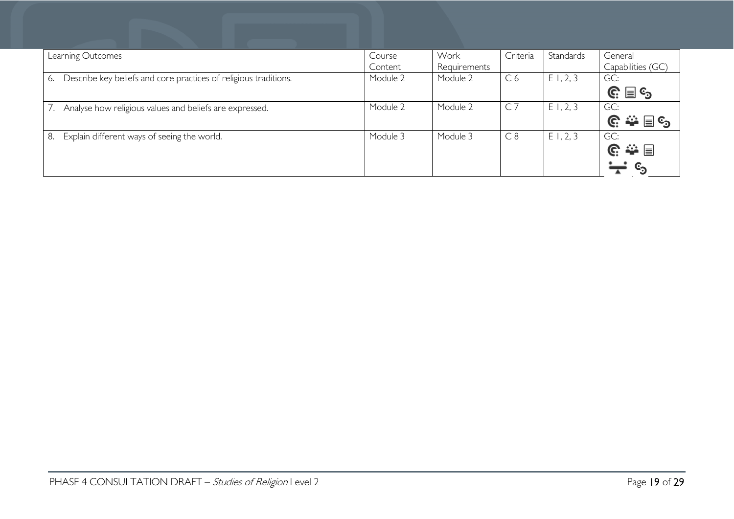| Learning Outcomes                                                      | Course<br>Content | Work<br>Requirements | Criteria       | Standards   | General<br>Capabilities (GC)                                       |
|------------------------------------------------------------------------|-------------------|----------------------|----------------|-------------|--------------------------------------------------------------------|
| Describe key beliefs and core practices of religious traditions.<br>6. | Module 2          | Module 2             | C <sub>6</sub> | E1, 2, 3    | GC:<br>$\mathbb{G} \equiv \mathbb{G}$                              |
| Analyse how religious values and beliefs are expressed.                | Module 2          | Module 2             | $C$ 7          | $E$ 1, 2, 3 | GC:                                                                |
| Explain different ways of seeing the world.<br>8.                      | Module 3          | Module 3             | C8             | E1, 2, 3    | GC:<br>$\mathbb{G} \triangleq \boxplus$<br>$\mathbf{c}_\mathbf{0}$ |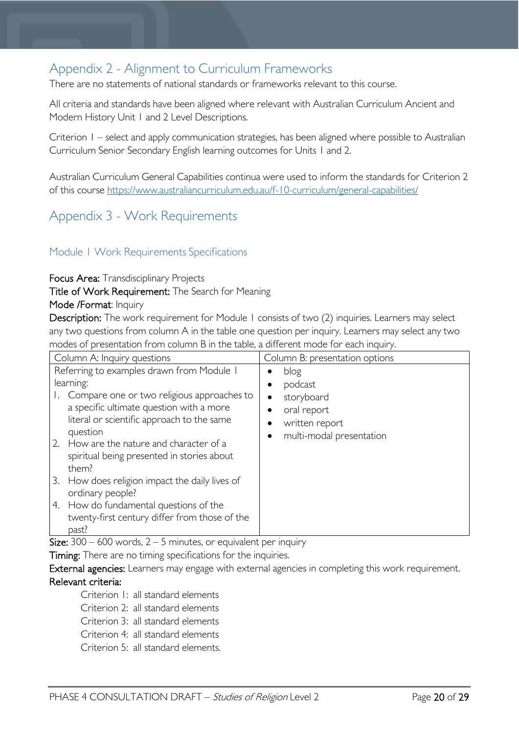## <span id="page-19-0"></span>Appendix 2 - Alignment to Curriculum Frameworks

There are no statements of national standards or frameworks relevant to this course.

All criteria and standards have been aligned where relevant with Australian Curriculum Ancient and Modern History Unit 1 and 2 Level Descriptions.

Criterion 1 – select and apply communication strategies, has been aligned where possible to Australian Curriculum Senior Secondary English learning outcomes for Units 1 and 2.

Australian Curriculum General Capabilities continua were used to inform the standards for Criterion 2 of this course <https://www.australiancurriculum.edu.au/f-10-curriculum/general-capabilities/>

### <span id="page-19-1"></span>Appendix 3 - Work Requirements

#### <span id="page-19-2"></span>Module 1 Work Requirements Specifications

Focus Area: Transdisciplinary Projects

Title of Work Requirement: The Search for Meaning

#### Mode /Format: Inquiry

Description: The work requirement for Module 1 consists of two (2) inquiries. Learners may select any two questions from column A in the table one question per inquiry. Learners may select any two modes of presentation from column B in the table, a different mode for each inquiry.

| Column A: Inquiry questions                                                                                                                                                                    | Column B: presentation options                                                                        |
|------------------------------------------------------------------------------------------------------------------------------------------------------------------------------------------------|-------------------------------------------------------------------------------------------------------|
| Referring to examples drawn from Module I<br>learning:<br>Compare one or two religious approaches to<br>a specific ultimate question with a more<br>literal or scientific approach to the same | blog<br>$\bullet$<br>podcast<br>storyboard<br>$\bullet$<br>oral report<br>written report<br>$\bullet$ |
| question<br>2.<br>How are the nature and character of a<br>spiritual being presented in stories about<br>them?                                                                                 | multi-modal presentation                                                                              |
| 3. How does religion impact the daily lives of<br>ordinary people?                                                                                                                             |                                                                                                       |
| How do fundamental questions of the<br>4.<br>twenty-first century differ from those of the<br>past?                                                                                            |                                                                                                       |

Size:  $300 - 600$  words,  $2 - 5$  minutes, or equivalent per inquiry

Timing: There are no timing specifications for the inquiries.

External agencies: Learners may engage with external agencies in completing this work requirement. Relevant criteria:

Criterion 1: all standard elements

Criterion 2: all standard elements

Criterion 3: all standard elements

Criterion 4: all standard elements

Criterion 5: all standard elements.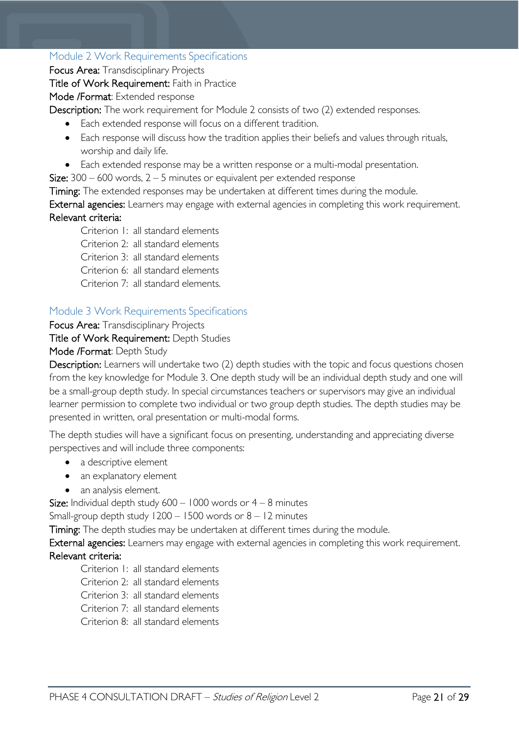#### <span id="page-20-0"></span>Module 2 Work Requirements Specifications

Focus Area: Transdisciplinary Projects

Title of Work Requirement: Faith in Practice Mode /Format: Extended response

Description: The work requirement for Module 2 consists of two (2) extended responses.

- Each extended response will focus on a different tradition.
- Each response will discuss how the tradition applies their beliefs and values through rituals, worship and daily life.
- Each extended response may be a written response or a multi-modal presentation.

Size:  $300 - 600$  words,  $2 - 5$  minutes or equivalent per extended response

Timing: The extended responses may be undertaken at different times during the module.

External agencies: Learners may engage with external agencies in completing this work requirement. Relevant criteria:

Criterion 1: all standard elements

Criterion 2: all standard elements

Criterion 3: all standard elements

Criterion 6: all standard elements

Criterion 7: all standard elements.

#### <span id="page-20-1"></span>Module 3 Work Requirements Specifications

Focus Area: Transdisciplinary Projects

Title of Work Requirement: Depth Studies

#### Mode /Format: Depth Study

Description: Learners will undertake two (2) depth studies with the topic and focus questions chosen from the key knowledge for Module 3. One depth study will be an individual depth study and one will be a small-group depth study. In special circumstances teachers or supervisors may give an individual learner permission to complete two individual or two group depth studies. The depth studies may be presented in written, oral presentation or multi-modal forms.

The depth studies will have a significant focus on presenting, understanding and appreciating diverse perspectives and will include three components:

- a descriptive element
- an explanatory element
- an analysis element.

Size: Individual depth study  $600 - 1000$  words or  $4 - 8$  minutes

Small-group depth study  $1200 - 1500$  words or  $8 - 12$  minutes

Timing: The depth studies may be undertaken at different times during the module.

External agencies: Learners may engage with external agencies in completing this work requirement. Relevant criteria:

Criterion 1: all standard elements

Criterion 2: all standard elements

Criterion 3: all standard elements

- Criterion 7: all standard elements
- Criterion 8: all standard elements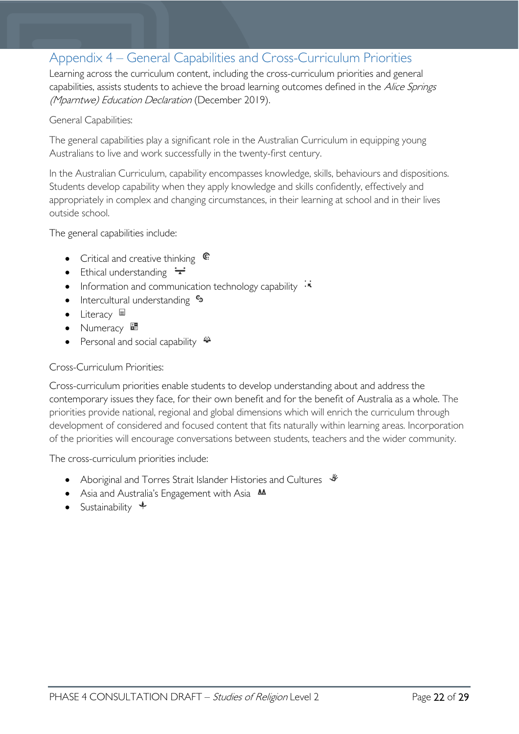### <span id="page-21-0"></span>Appendix 4 – General Capabilities and Cross-Curriculum Priorities

Learning across the curriculum content, including the cross-curriculum priorities and general capabilities, assists students to achieve the broad learning outcomes defined in the Alice Springs (Mparntwe) Education Declaration (December 2019).

#### General Capabilities:

The general capabilities play a significant role in the Australian Curriculum in equipping young Australians to live and work successfully in the twenty-first century.

In the Australian Curriculum, capability encompasses knowledge, skills, behaviours and dispositions. Students develop capability when they apply knowledge and skills confidently, effectively and appropriately in complex and changing circumstances, in their learning at school and in their lives outside school.

The general capabilities include:

- Critical and creative thinking  $\mathbb{C}$
- Ethical understanding  $\div$
- Information and communication technology capability  $\cdot \cdot$
- Intercultural understanding  $\frac{c_3}{ }$
- Literacy
- Numeracy
- **Personal and social capability**  $\ddot{\ddot{\bullet}}$

#### Cross-Curriculum Priorities:

Cross-curriculum priorities enable students to develop understanding about and address the contemporary issues they face, for their own benefit and for the benefit of Australia as a whole. The priorities provide national, regional and global dimensions which will enrich the curriculum through development of considered and focused content that fits naturally within learning areas. Incorporation of the priorities will encourage conversations between students, teachers and the wider community.

The cross-curriculum priorities include:

- Aboriginal and Torres Strait Islander Histories and Cultures  $\mathcal$
- Asia and Australia's Engagement with Asia **AA**
- Sustainability  $\triangleleft$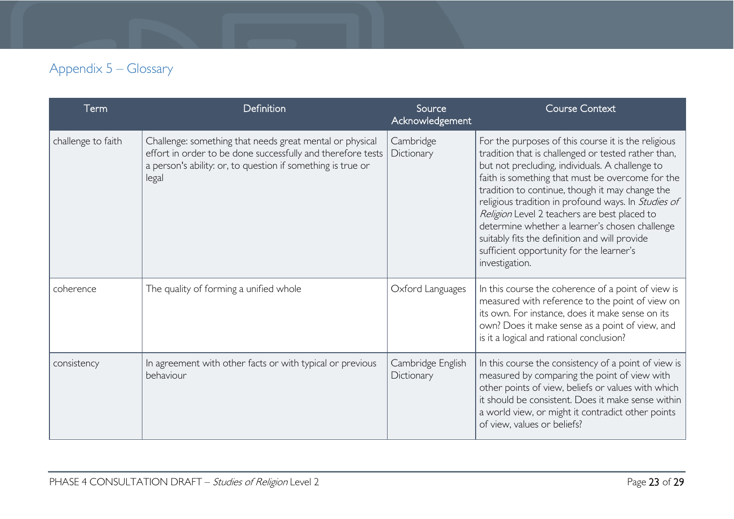# Appendix 5 – Glossary

<span id="page-22-0"></span>

| Term               | Definition                                                                                                                                                                                      | Source<br>Acknowledgement       | <b>Course Context</b>                                                                                                                                                                                                                                                                                                                                                                                                                                                                                                                        |
|--------------------|-------------------------------------------------------------------------------------------------------------------------------------------------------------------------------------------------|---------------------------------|----------------------------------------------------------------------------------------------------------------------------------------------------------------------------------------------------------------------------------------------------------------------------------------------------------------------------------------------------------------------------------------------------------------------------------------------------------------------------------------------------------------------------------------------|
| challenge to faith | Challenge: something that needs great mental or physical<br>effort in order to be done successfully and therefore tests<br>a person's ability: or, to question if something is true or<br>legal | Cambridge<br>Dictionary         | For the purposes of this course it is the religious<br>tradition that is challenged or tested rather than,<br>but not precluding, individuals. A challenge to<br>faith is something that must be overcome for the<br>tradition to continue, though it may change the<br>religious tradition in profound ways. In Studies of<br>Religion Level 2 teachers are best placed to<br>determine whether a learner's chosen challenge<br>suitably fits the definition and will provide<br>sufficient opportunity for the learner's<br>investigation. |
| coherence          | The quality of forming a unified whole                                                                                                                                                          | Oxford Languages                | In this course the coherence of a point of view is<br>measured with reference to the point of view on<br>its own. For instance, does it make sense on its<br>own? Does it make sense as a point of view, and<br>is it a logical and rational conclusion?                                                                                                                                                                                                                                                                                     |
| consistency        | In agreement with other facts or with typical or previous<br>behaviour                                                                                                                          | Cambridge English<br>Dictionary | In this course the consistency of a point of view is<br>measured by comparing the point of view with<br>other points of view, beliefs or values with which<br>it should be consistent. Does it make sense within<br>a world view, or might it contradict other points<br>of view, values or beliefs?                                                                                                                                                                                                                                         |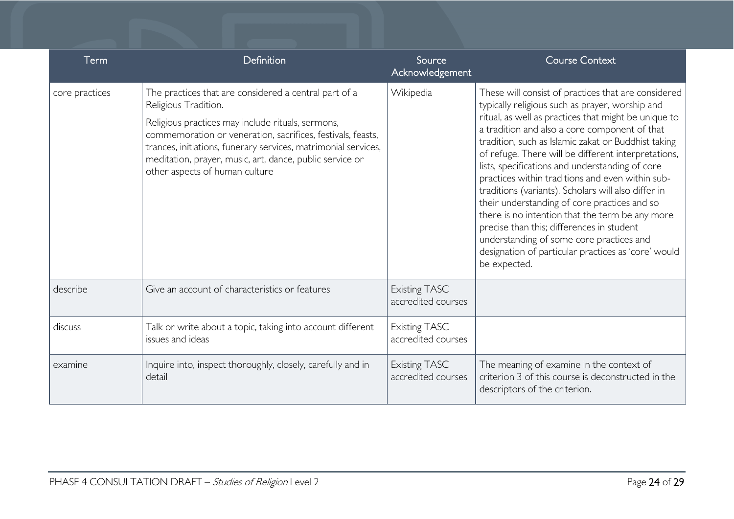| Term           | Definition                                                                                                                                                                                                                                                                                                                                                        | Source<br>Acknowledgement                  | <b>Course Context</b>                                                                                                                                                                                                                                                                                                                                                                                                                                                                                                                                                                                                                                                                                                                                          |
|----------------|-------------------------------------------------------------------------------------------------------------------------------------------------------------------------------------------------------------------------------------------------------------------------------------------------------------------------------------------------------------------|--------------------------------------------|----------------------------------------------------------------------------------------------------------------------------------------------------------------------------------------------------------------------------------------------------------------------------------------------------------------------------------------------------------------------------------------------------------------------------------------------------------------------------------------------------------------------------------------------------------------------------------------------------------------------------------------------------------------------------------------------------------------------------------------------------------------|
| core practices | The practices that are considered a central part of a<br>Religious Tradition.<br>Religious practices may include rituals, sermons,<br>commemoration or veneration, sacrifices, festivals, feasts,<br>trances, initiations, funerary services, matrimonial services,<br>meditation, prayer, music, art, dance, public service or<br>other aspects of human culture | Wikipedia                                  | These will consist of practices that are considered<br>typically religious such as prayer, worship and<br>ritual, as well as practices that might be unique to<br>a tradition and also a core component of that<br>tradition, such as Islamic zakat or Buddhist taking<br>of refuge. There will be different interpretations,<br>lists, specifications and understanding of core<br>practices within traditions and even within sub-<br>traditions (variants). Scholars will also differ in<br>their understanding of core practices and so<br>there is no intention that the term be any more<br>precise than this; differences in student<br>understanding of some core practices and<br>designation of particular practices as 'core' would<br>be expected. |
| describe       | Give an account of characteristics or features                                                                                                                                                                                                                                                                                                                    | <b>Existing TASC</b><br>accredited courses |                                                                                                                                                                                                                                                                                                                                                                                                                                                                                                                                                                                                                                                                                                                                                                |
| discuss        | Talk or write about a topic, taking into account different<br>issues and ideas                                                                                                                                                                                                                                                                                    | <b>Existing TASC</b><br>accredited courses |                                                                                                                                                                                                                                                                                                                                                                                                                                                                                                                                                                                                                                                                                                                                                                |
| examine        | Inquire into, inspect thoroughly, closely, carefully and in<br>detail                                                                                                                                                                                                                                                                                             | <b>Existing TASC</b><br>accredited courses | The meaning of examine in the context of<br>criterion 3 of this course is deconstructed in the<br>descriptors of the criterion.                                                                                                                                                                                                                                                                                                                                                                                                                                                                                                                                                                                                                                |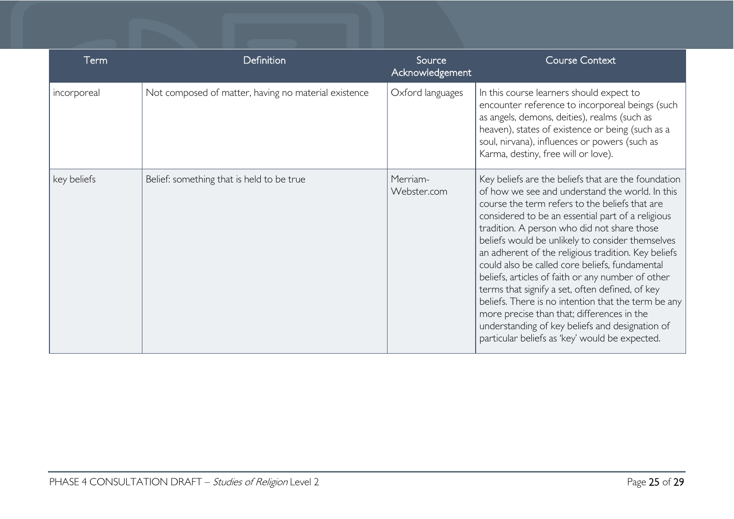| Term        | Definition                                           | Source<br>Acknowledgement | <b>Course Context</b>                                                                                                                                                                                                                                                                                                                                                                                                                                                                                                                                                                                                                                                                                                                       |
|-------------|------------------------------------------------------|---------------------------|---------------------------------------------------------------------------------------------------------------------------------------------------------------------------------------------------------------------------------------------------------------------------------------------------------------------------------------------------------------------------------------------------------------------------------------------------------------------------------------------------------------------------------------------------------------------------------------------------------------------------------------------------------------------------------------------------------------------------------------------|
| incorporeal | Not composed of matter, having no material existence | Oxford languages          | In this course learners should expect to<br>encounter reference to incorporeal beings (such<br>as angels, demons, deities), realms (such as<br>heaven), states of existence or being (such as a<br>soul, nirvana), influences or powers (such as<br>Karma, destiny, free will or love).                                                                                                                                                                                                                                                                                                                                                                                                                                                     |
| key beliefs | Belief: something that is held to be true            | Merriam-<br>Webster.com   | Key beliefs are the beliefs that are the foundation<br>of how we see and understand the world. In this<br>course the term refers to the beliefs that are<br>considered to be an essential part of a religious<br>tradition. A person who did not share those<br>beliefs would be unlikely to consider themselves<br>an adherent of the religious tradition. Key beliefs<br>could also be called core beliefs, fundamental<br>beliefs, articles of faith or any number of other<br>terms that signify a set, often defined, of key<br>beliefs. There is no intention that the term be any<br>more precise than that; differences in the<br>understanding of key beliefs and designation of<br>particular beliefs as 'key' would be expected. |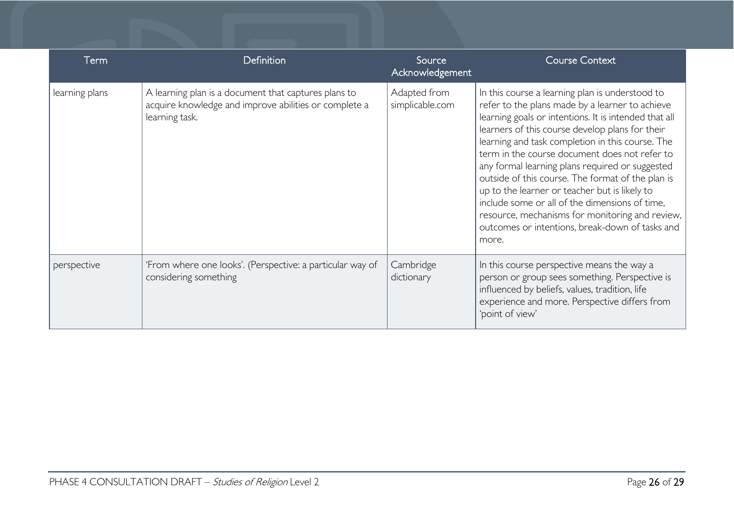| Term           | <b>Definition</b>                                                                                                               | Source<br>Acknowledgement       | <b>Course Context</b>                                                                                                                                                                                                                                                                                                                                                                                                                                                                                                                                                                                                                         |
|----------------|---------------------------------------------------------------------------------------------------------------------------------|---------------------------------|-----------------------------------------------------------------------------------------------------------------------------------------------------------------------------------------------------------------------------------------------------------------------------------------------------------------------------------------------------------------------------------------------------------------------------------------------------------------------------------------------------------------------------------------------------------------------------------------------------------------------------------------------|
| learning plans | A learning plan is a document that captures plans to<br>acquire knowledge and improve abilities or complete a<br>learning task. | Adapted from<br>simplicable.com | In this course a learning plan is understood to<br>refer to the plans made by a learner to achieve<br>learning goals or intentions. It is intended that all<br>learners of this course develop plans for their<br>learning and task completion in this course. The<br>term in the course document does not refer to<br>any formal learning plans required or suggested<br>outside of this course. The format of the plan is<br>up to the learner or teacher but is likely to<br>include some or all of the dimensions of time,<br>resource, mechanisms for monitoring and review,<br>outcomes or intentions, break-down of tasks and<br>more. |
| perspective    | 'From where one looks'. (Perspective: a particular way of<br>considering something                                              | Cambridge<br>dictionary         | In this course perspective means the way a<br>person or group sees something. Perspective is<br>influenced by beliefs, values, tradition, life<br>experience and more. Perspective differs from<br>'point of view'                                                                                                                                                                                                                                                                                                                                                                                                                            |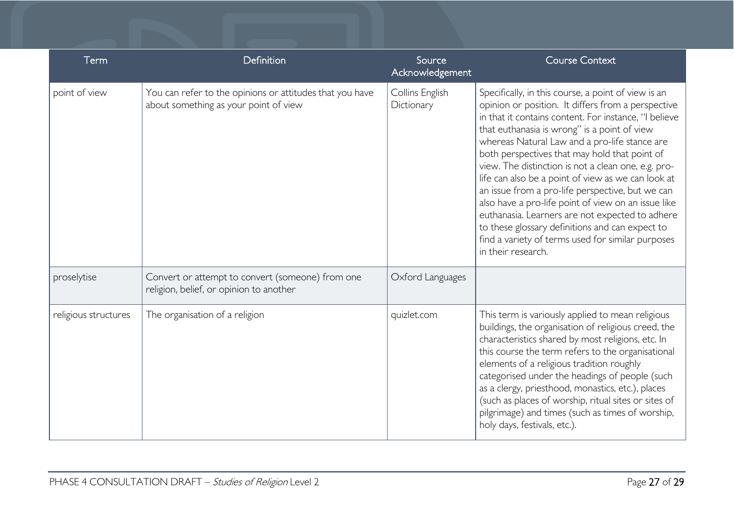| Term                 | Definition                                                                                        | Source<br>Acknowledgement     | <b>Course Context</b>                                                                                                                                                                                                                                                                                                                                                                                                                                                                                                                                                                                                                                                                                                         |
|----------------------|---------------------------------------------------------------------------------------------------|-------------------------------|-------------------------------------------------------------------------------------------------------------------------------------------------------------------------------------------------------------------------------------------------------------------------------------------------------------------------------------------------------------------------------------------------------------------------------------------------------------------------------------------------------------------------------------------------------------------------------------------------------------------------------------------------------------------------------------------------------------------------------|
| point of view        | You can refer to the opinions or attitudes that you have<br>about something as your point of view | Collins English<br>Dictionary | Specifically, in this course, a point of view is an<br>opinion or position. It differs from a perspective<br>in that it contains content. For instance, "I believe<br>that euthanasia is wrong" is a point of view<br>whereas Natural Law and a pro-life stance are<br>both perspectives that may hold that point of<br>view. The distinction is not a clean one, e.g. pro-<br>life can also be a point of view as we can look at<br>an issue from a pro-life perspective, but we can<br>also have a pro-life point of view on an issue like<br>euthanasia. Learners are not expected to adhere<br>to these glossary definitions and can expect to<br>find a variety of terms used for similar purposes<br>in their research. |
| proselytise          | Convert or attempt to convert (someone) from one<br>religion, belief, or opinion to another       | Oxford Languages              |                                                                                                                                                                                                                                                                                                                                                                                                                                                                                                                                                                                                                                                                                                                               |
| religious structures | The organisation of a religion                                                                    | quizlet.com                   | This term is variously applied to mean religious<br>buildings, the organisation of religious creed, the<br>characteristics shared by most religions, etc. In<br>this course the term refers to the organisational<br>elements of a religious tradition roughly<br>categorised under the headings of people (such<br>as a clergy, priesthood, monastics, etc.), places<br>(such as places of worship, ritual sites or sites of<br>pilgrimage) and times (such as times of worship,<br>holy days, festivals, etc.).                                                                                                                                                                                                             |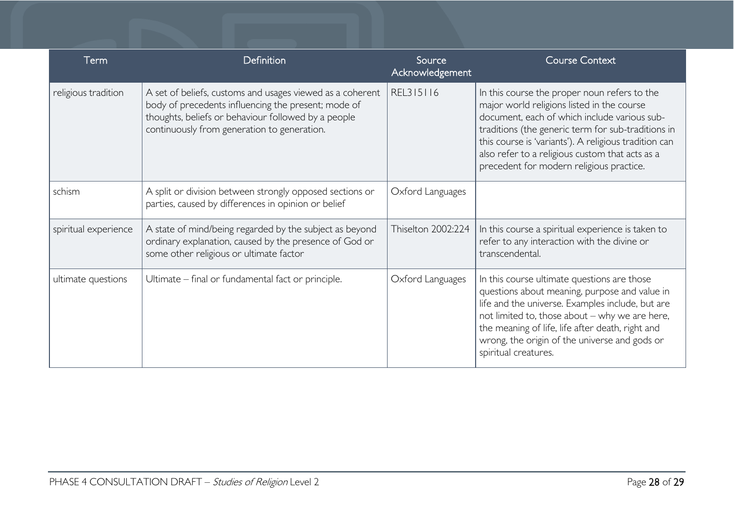| Term                 | Definition                                                                                                                                                                                                             | Source<br>Acknowledgement | <b>Course Context</b>                                                                                                                                                                                                                                                                                                                                    |
|----------------------|------------------------------------------------------------------------------------------------------------------------------------------------------------------------------------------------------------------------|---------------------------|----------------------------------------------------------------------------------------------------------------------------------------------------------------------------------------------------------------------------------------------------------------------------------------------------------------------------------------------------------|
| religious tradition  | A set of beliefs, customs and usages viewed as a coherent<br>body of precedents influencing the present; mode of<br>thoughts, beliefs or behaviour followed by a people<br>continuously from generation to generation. | REL315116                 | In this course the proper noun refers to the<br>major world religions listed in the course<br>document, each of which include various sub-<br>traditions (the generic term for sub-traditions in<br>this course is 'variants'). A religious tradition can<br>also refer to a religious custom that acts as a<br>precedent for modern religious practice. |
| schism               | A split or division between strongly opposed sections or<br>parties, caused by differences in opinion or belief                                                                                                        | Oxford Languages          |                                                                                                                                                                                                                                                                                                                                                          |
| spiritual experience | A state of mind/being regarded by the subject as beyond<br>ordinary explanation, caused by the presence of God or<br>some other religious or ultimate factor                                                           | Thiselton 2002:224        | In this course a spiritual experience is taken to<br>refer to any interaction with the divine or<br>transcendental.                                                                                                                                                                                                                                      |
| ultimate questions   | Ultimate – final or fundamental fact or principle.                                                                                                                                                                     | Oxford Languages          | In this course ultimate questions are those<br>questions about meaning, purpose and value in<br>life and the universe. Examples include, but are<br>not limited to, those about - why we are here,<br>the meaning of life, life after death, right and<br>wrong, the origin of the universe and gods or<br>spiritual creatures.                          |